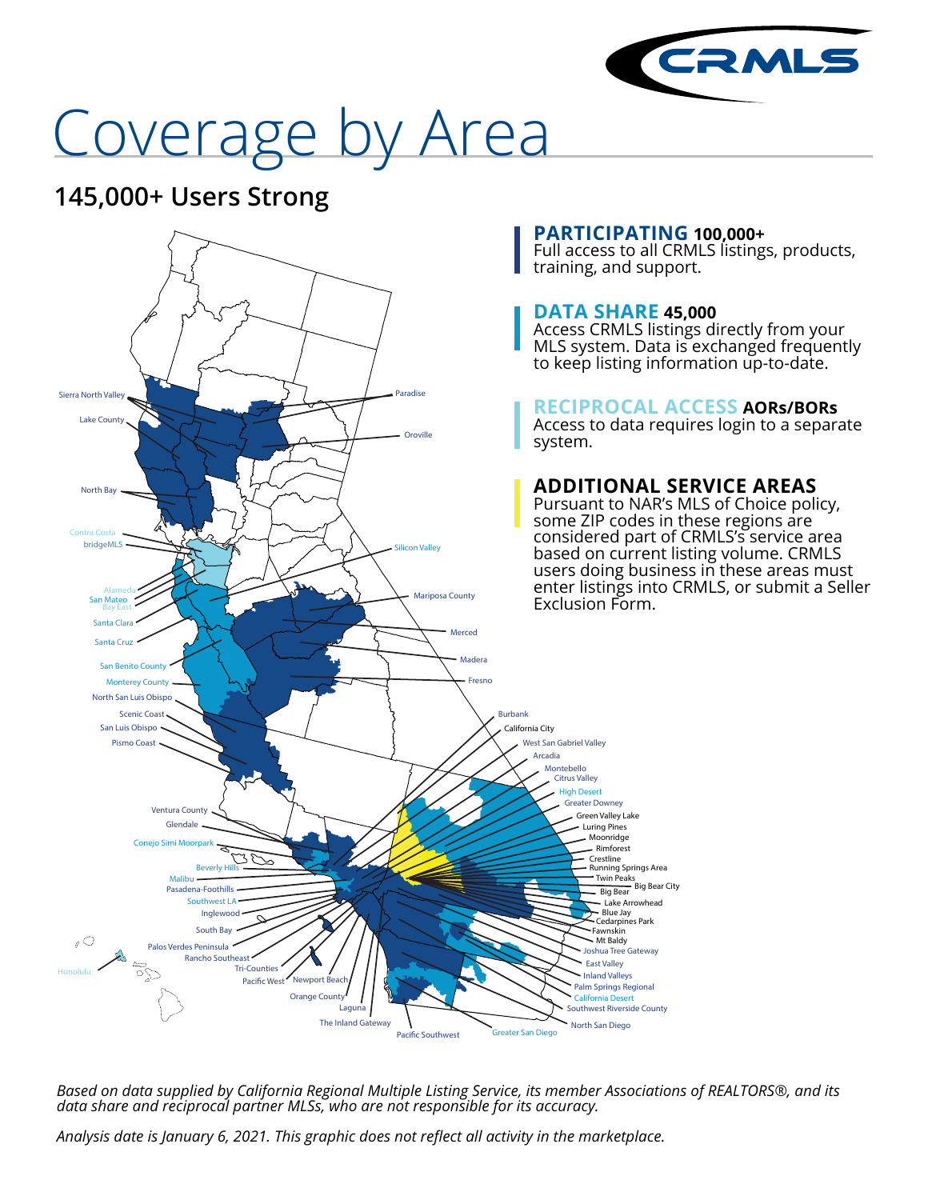

# Coverage by Area

## **145,000+ Users Strong**



*Based on data supplied by California Regional Multiple Listing Service, its member Associations of REALTORS®, and its data share and reciprocal partner MLSs, who are not responsible for its accuracy.*

*Analysis date is January 6, 2021. This graphic does not reflect all activity in the marketplace.*